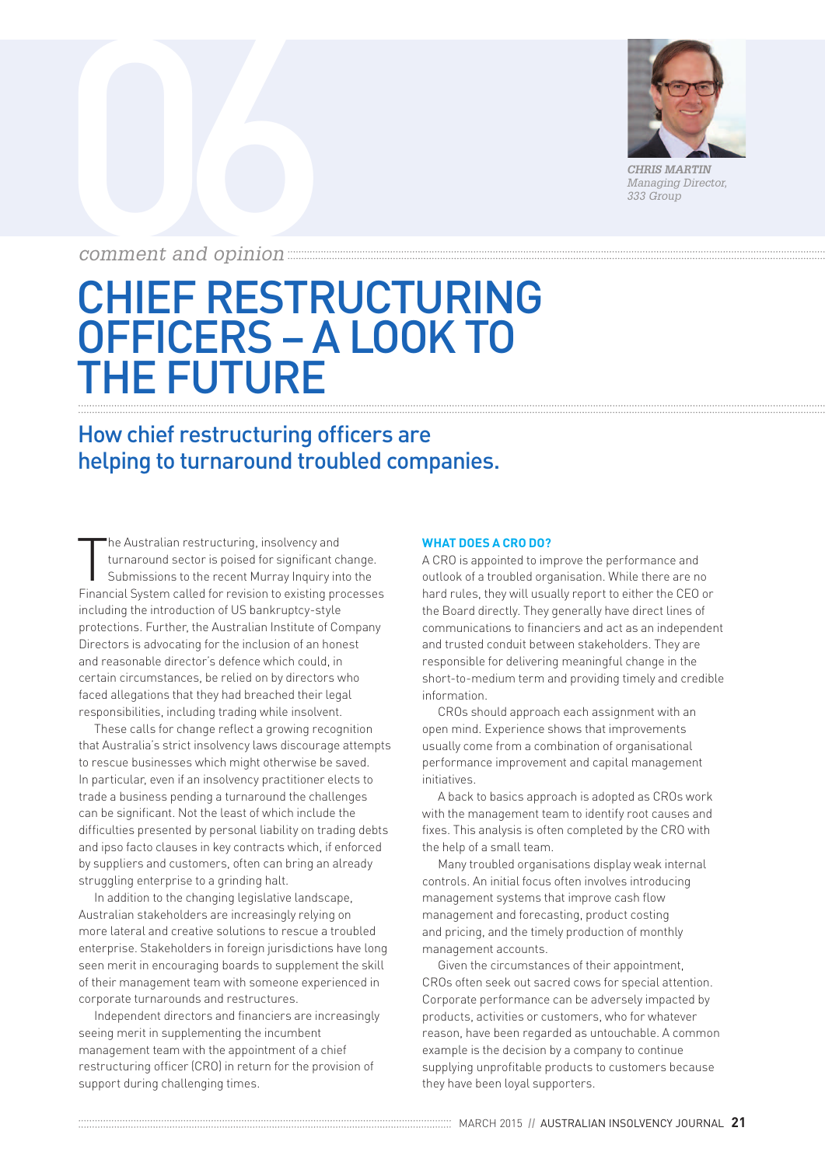

*CHRIS MARTIN Managing Director, 333 Group*

# COMMERCIA DE COMMERCIA DE LA COMMERCIA DE LA CONSUMIDIENTE DE LA CONSUMIDIENTE DE LA CONSUMIDIENTE DE LA CONSUMIDIENTE DE LA CONSUMIDIENTE DE LA CONSUMIDIENTE DE LA CONSUMIDIENTE DE LA CONSUMIDIENTE DE LA CONSUMIDIENTE DE *comment and opinion*

## CHIEF RESTRUCTURING OFFICERS – A LOOK TO THE FUTURE

### How chief restructuring officers are helping to turnaround troubled companies.

T he Australian restructuring, insolvency and turnaround sector is poised for significant change. Submissions to the recent Murray Inquiry into the Financial System called for revision to existing processes including the introduction of US bankruptcy-style protections. Further, the Australian Institute of Company Directors is advocating for the inclusion of an honest and reasonable director's defence which could, in certain circumstances, be relied on by directors who faced allegations that they had breached their legal responsibilities, including trading while insolvent.

These calls for change reflect a growing recognition that Australia's strict insolvency laws discourage attempts to rescue businesses which might otherwise be saved. In particular, even if an insolvency practitioner elects to trade a business pending a turnaround the challenges can be significant. Not the least of which include the difficulties presented by personal liability on trading debts and ipso facto clauses in key contracts which, if enforced by suppliers and customers, often can bring an already struggling enterprise to a grinding halt.

In addition to the changing legislative landscape, Australian stakeholders are increasingly relying on more lateral and creative solutions to rescue a troubled enterprise. Stakeholders in foreign jurisdictions have long seen merit in encouraging boards to supplement the skill of their management team with someone experienced in corporate turnarounds and restructures.

Independent directors and financiers are increasingly seeing merit in supplementing the incumbent management team with the appointment of a chief restructuring officer (CRO) in return for the provision of support during challenging times.

#### **WHAT DOES A CRO DO?**

A CRO is appointed to improve the performance and outlook of a troubled organisation. While there are no hard rules, they will usually report to either the CEO or the Board directly. They generally have direct lines of communications to financiers and act as an independent and trusted conduit between stakeholders. They are responsible for delivering meaningful change in the short-to-medium term and providing timely and credible information.

CROs should approach each assignment with an open mind. Experience shows that improvements usually come from a combination of organisational performance improvement and capital management initiatives.

A back to basics approach is adopted as CROs work with the management team to identify root causes and fixes. This analysis is often completed by the CRO with the help of a small team.

Many troubled organisations display weak internal controls. An initial focus often involves introducing management systems that improve cash flow management and forecasting, product costing and pricing, and the timely production of monthly management accounts.

Given the circumstances of their appointment, CROs often seek out sacred cows for special attention. Corporate performance can be adversely impacted by products, activities or customers, who for whatever reason, have been regarded as untouchable. A common example is the decision by a company to continue supplying unprofitable products to customers because they have been loyal supporters.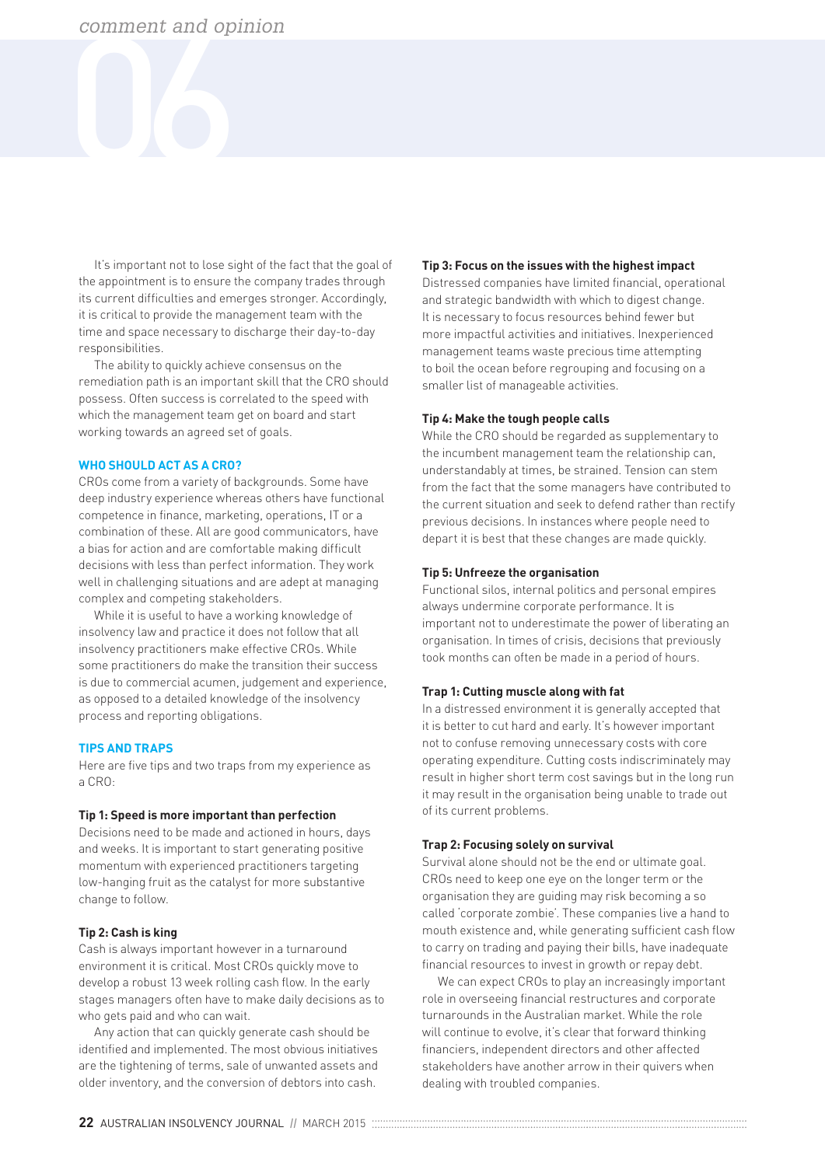It's important not to lose sight of the fact that the goal of the appointment is to ensure the company trades through its current difficulties and emerges stronger. Accordingly, it is critical to provide the management team with the time and space necessary to discharge their day-to-day responsibilities.

The ability to quickly achieve consensus on the remediation path is an important skill that the CRO should possess. Often success is correlated to the speed with which the management team get on board and start working towards an agreed set of goals.

#### **WHO SHOULD ACT AS A CRO?**

CROs come from a variety of backgrounds. Some have deep industry experience whereas others have functional competence in finance, marketing, operations, IT or a combination of these. All are good communicators, have a bias for action and are comfortable making difficult decisions with less than perfect information. They work well in challenging situations and are adept at managing complex and competing stakeholders.

While it is useful to have a working knowledge of insolvency law and practice it does not follow that all insolvency practitioners make effective CROs. While some practitioners do make the transition their success is due to commercial acumen, judgement and experience, as opposed to a detailed knowledge of the insolvency process and reporting obligations.

#### **TIPS AND TRAPS**

Here are five tips and two traps from my experience as a CRO:

#### **Tip 1: Speed is more important than perfection**

Decisions need to be made and actioned in hours, days and weeks. It is important to start generating positive momentum with experienced practitioners targeting low-hanging fruit as the catalyst for more substantive change to follow.

#### **Tip 2: Cash is king**

Cash is always important however in a turnaround environment it is critical. Most CROs quickly move to develop a robust 13 week rolling cash flow. In the early stages managers often have to make daily decisions as to who gets paid and who can wait.

Any action that can quickly generate cash should be identified and implemented. The most obvious initiatives are the tightening of terms, sale of unwanted assets and older inventory, and the conversion of debtors into cash.

#### **Tip 3: Focus on the issues with the highest impact**

Distressed companies have limited financial, operational and strategic bandwidth with which to digest change. It is necessary to focus resources behind fewer but more impactful activities and initiatives. Inexperienced management teams waste precious time attempting to boil the ocean before regrouping and focusing on a smaller list of manageable activities.

#### **Tip 4: Make the tough people calls**

While the CRO should be regarded as supplementary to the incumbent management team the relationship can, understandably at times, be strained. Tension can stem from the fact that the some managers have contributed to the current situation and seek to defend rather than rectify previous decisions. In instances where people need to depart it is best that these changes are made quickly.

#### **Tip 5: Unfreeze the organisation**

Functional silos, internal politics and personal empires always undermine corporate performance. It is important not to underestimate the power of liberating an organisation. In times of crisis, decisions that previously took months can often be made in a period of hours.

#### **Trap 1: Cutting muscle along with fat**

In a distressed environment it is generally accepted that it is better to cut hard and early. It's however important not to confuse removing unnecessary costs with core operating expenditure. Cutting costs indiscriminately may result in higher short term cost savings but in the long run it may result in the organisation being unable to trade out of its current problems.

#### **Trap 2: Focusing solely on survival**

Survival alone should not be the end or ultimate goal. CROs need to keep one eye on the longer term or the organisation they are guiding may risk becoming a so called 'corporate zombie'. These companies live a hand to mouth existence and, while generating sufficient cash flow to carry on trading and paying their bills, have inadequate financial resources to invest in growth or repay debt.

We can expect CROs to play an increasingly important role in overseeing financial restructures and corporate turnarounds in the Australian market. While the role will continue to evolve, it's clear that forward thinking financiers, independent directors and other affected stakeholders have another arrow in their quivers when dealing with troubled companies.